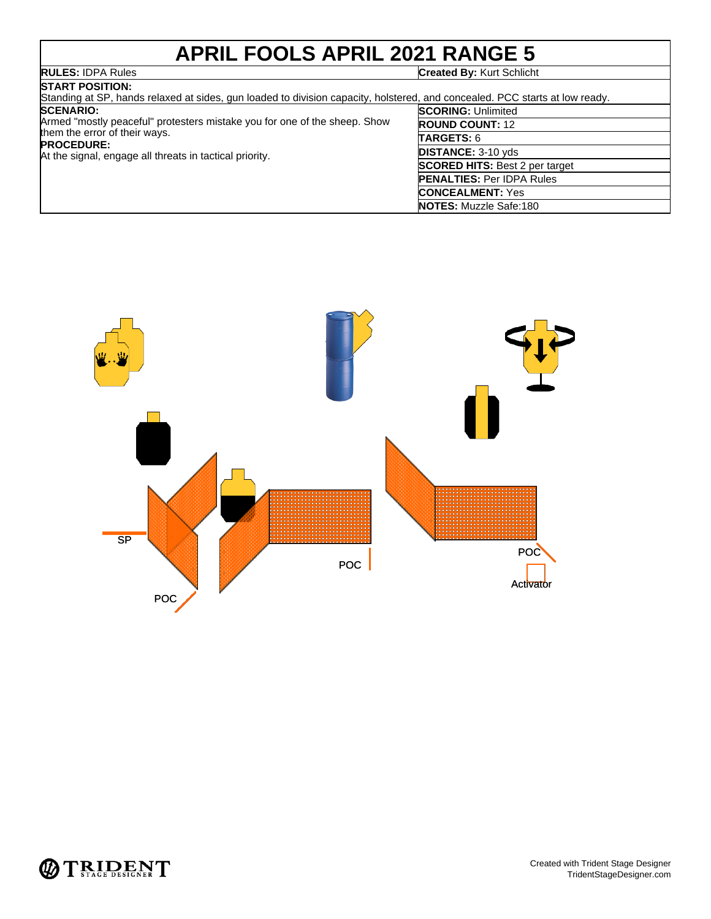### **APRIL FOOLS APRIL 2021 RANGE 5 RULES:** IDPA Rules **Created By:** Kurt Schlicht

| <b>START POSITION:</b><br>Standing at SP, hands relaxed at sides, gun loaded to division capacity, holstered, and concealed. PCC starts at low ready.                                                          |                                       |
|----------------------------------------------------------------------------------------------------------------------------------------------------------------------------------------------------------------|---------------------------------------|
| <b>SCENARIO:</b><br>Armed "mostly peaceful" protesters mistake you for one of the sheep. Show<br>them the error of their ways.<br><b>PROCEDURE:</b><br>At the signal, engage all threats in tactical priority. | <b>SCORING: Unlimited</b>             |
|                                                                                                                                                                                                                | <b>ROUND COUNT: 12</b>                |
|                                                                                                                                                                                                                | <b>TARGETS: 6</b>                     |
|                                                                                                                                                                                                                | <b>DISTANCE: 3-10 yds</b>             |
|                                                                                                                                                                                                                | <b>SCORED HITS: Best 2 per target</b> |
|                                                                                                                                                                                                                | <b>PENALTIES: Per IDPA Rules</b>      |
|                                                                                                                                                                                                                | <b>CONCEALMENT: Yes</b>               |
|                                                                                                                                                                                                                | <b>NOTES:</b> Muzzle Safe:180         |



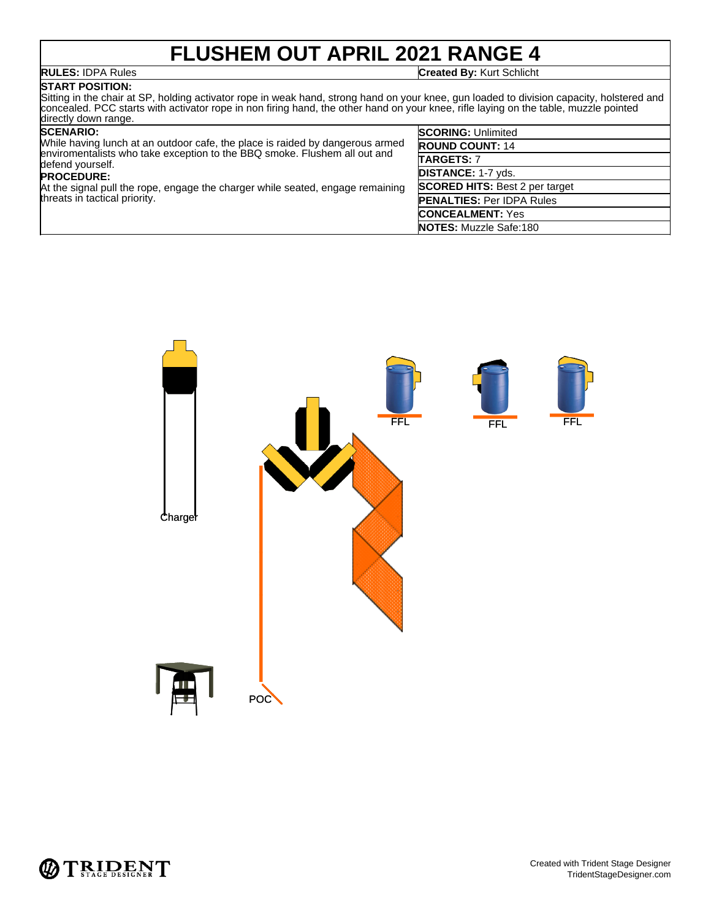## **FLUSHEM OUT APRIL 2021 RANGE 4**

### **RULES:** IDPA Rules **Created By:** Kurt Schlicht

**START POSITION:** Sitting in the chair at SP, holding activator rope in weak hand, strong hand on your knee, gun loaded to division capacity, holstered and concealed. PCC starts with activator rope in non firing hand, the other hand on your knee, rifle laying on the table, muzzle pointed directly down range.

### **SCENARIO:**

| <b>SCENARIO:</b><br>While having lunch at an outdoor cafe, the place is raided by dangerous armed<br>enviromentalists who take exception to the BBQ smoke. Flushem all out and<br>defend yourself. | <b>SCORING: Unlimited</b>             |
|----------------------------------------------------------------------------------------------------------------------------------------------------------------------------------------------------|---------------------------------------|
|                                                                                                                                                                                                    | <b>ROUND COUNT: 14</b>                |
|                                                                                                                                                                                                    | <b>TARGETS: 7</b>                     |
| <b>PROCEDURE:</b>                                                                                                                                                                                  | <b>DISTANCE: 1-7 vds.</b>             |
| At the signal pull the rope, engage the charger while seated, engage remaining                                                                                                                     | <b>SCORED HITS: Best 2 per target</b> |
| threats in tactical priority.                                                                                                                                                                      | <b>PENALTIES: Per IDPA Rules</b>      |
|                                                                                                                                                                                                    | <b>CONCEALMENT: Yes</b>               |
|                                                                                                                                                                                                    | <b>NOTES:</b> Muzzle Safe:180         |



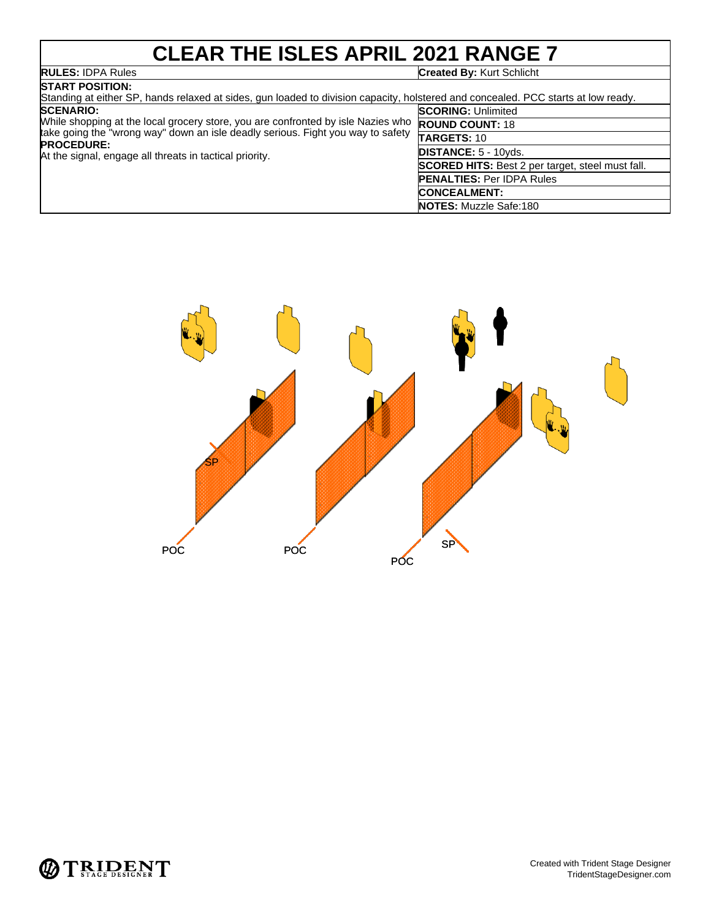## **CLEAR THE ISLES APRIL 2021 RANGE 7**

## **RULES: IDPA Rules**<br>**START POSITION:**

### **Created By: Kurt Schlicht**

| DIARI FUƏHUN.<br>Standing at either SP, hands relaxed at sides, gun loaded to division capacity, holstered and concealed. PCC starts at low ready.                                                                                                                      |                                                         |
|-------------------------------------------------------------------------------------------------------------------------------------------------------------------------------------------------------------------------------------------------------------------------|---------------------------------------------------------|
| <b>SCENARIO:</b><br>While shopping at the local grocery store, you are confronted by isle Nazies who<br>take going the "wrong way" down an isle deadly serious. Fight you way to safety<br><b>PROCEDURE:</b><br>At the signal, engage all threats in tactical priority. | <b>SCORING: Unlimited</b>                               |
|                                                                                                                                                                                                                                                                         | <b>ROUND COUNT: 18</b>                                  |
|                                                                                                                                                                                                                                                                         | TARGETS: 10                                             |
|                                                                                                                                                                                                                                                                         | <b>DISTANCE: 5 - 10yds.</b>                             |
|                                                                                                                                                                                                                                                                         | <b>SCORED HITS:</b> Best 2 per target, steel must fall. |
|                                                                                                                                                                                                                                                                         | <b>PENALTIES: Per IDPA Rules</b>                        |
|                                                                                                                                                                                                                                                                         | <b>CONCEALMENT:</b>                                     |
|                                                                                                                                                                                                                                                                         | <b>NOTES:</b> Muzzle Safe:180                           |



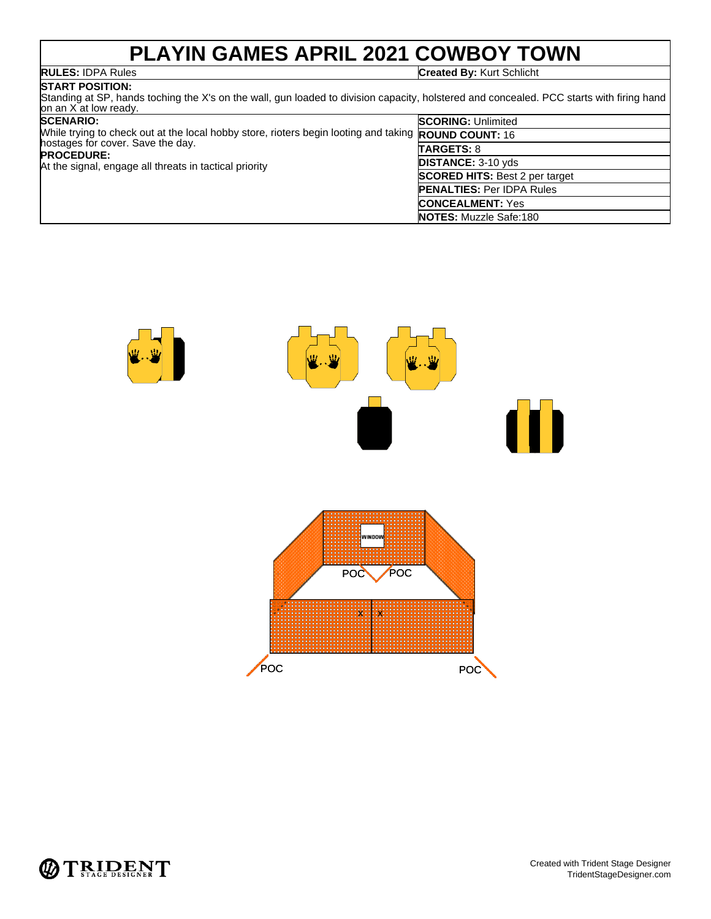## **PLAYIN GAMES APRIL 2021 COWBOY TOWN**

**RULES:** IDPA Rules **Created By:** Kurt Schlicht

### **START POSITION:** Standing at SP, hands toching the X's on the wall, gun loaded to division capacity, holstered and concealed. PCC starts with firing hand on an X at low ready.

| <b>SCENARIO:</b><br>While trying to check out at the local hobby store, rioters begin looting and taking <b>ROUND COUNT:</b> 16<br>hostages for cover. Save the day.<br><b>PROCEDURE:</b><br>At the signal, engage all threats in tactical priority | <b>SCORING: Unlimited</b>             |
|-----------------------------------------------------------------------------------------------------------------------------------------------------------------------------------------------------------------------------------------------------|---------------------------------------|
|                                                                                                                                                                                                                                                     |                                       |
|                                                                                                                                                                                                                                                     | <b>TARGETS: 8</b>                     |
|                                                                                                                                                                                                                                                     | <b>DISTANCE: 3-10 yds</b>             |
|                                                                                                                                                                                                                                                     | <b>SCORED HITS: Best 2 per target</b> |
|                                                                                                                                                                                                                                                     | <b>PENALTIES: Per IDPA Rules</b>      |
|                                                                                                                                                                                                                                                     | <b>CONCEALMENT:</b> Yes               |
|                                                                                                                                                                                                                                                     | <b>NOTES: Muzzle Safe:180</b>         |



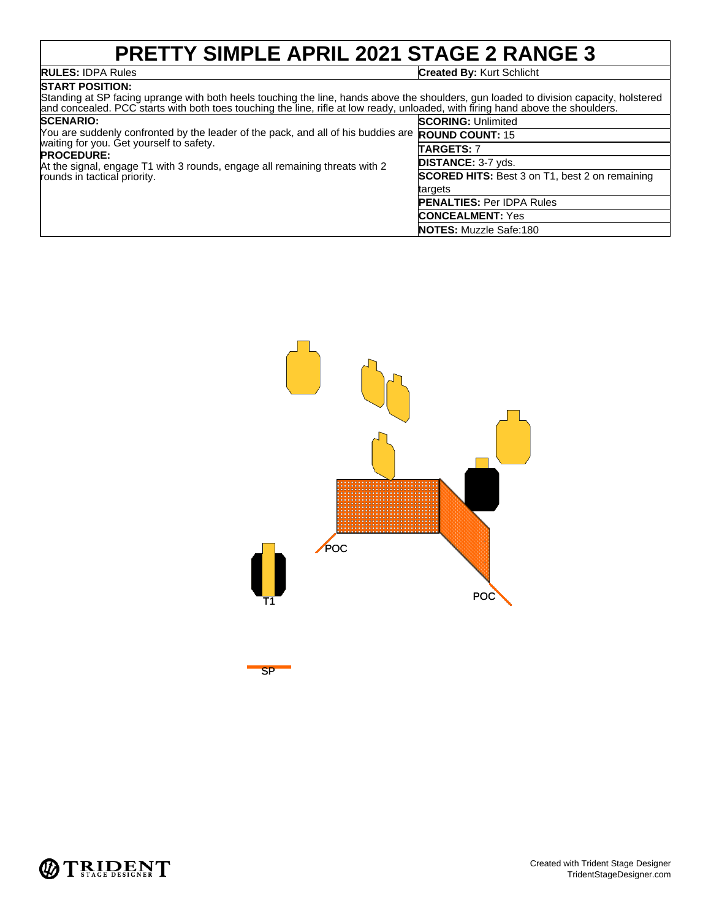## **PRETTY SIMPLE APRIL 2021 STAGE 2 RANGE 3**

## **RULES: IDPA Rules**<br>**START POSITION:**

### **Created By: Kurt Schlicht**

| .<br>Standing at SP facing uprange with both heels touching the line, hands above the shoulders, gun loaded to division capacity, holstered<br>and concealed. PCC starts with both toes touching the line, rifle at low ready, unloaded, with firing hand above the shoulders.                               |                                                       |
|--------------------------------------------------------------------------------------------------------------------------------------------------------------------------------------------------------------------------------------------------------------------------------------------------------------|-------------------------------------------------------|
| <b>SCENARIO:</b><br>You are suddenly confronted by the leader of the pack, and all of his buddies are <b>ROUND COUNT:</b> 15<br>waiting for you. Get yourself to safety.<br><b>PROCEDURE:</b><br>At the signal, engage T1 with 3 rounds, engage all remaining threats with 2<br>rounds in tactical priority. | <b>SCORING: Unlimited</b>                             |
|                                                                                                                                                                                                                                                                                                              |                                                       |
|                                                                                                                                                                                                                                                                                                              | TARGETS: 7                                            |
|                                                                                                                                                                                                                                                                                                              | <b>DISTANCE: 3-7 yds.</b>                             |
|                                                                                                                                                                                                                                                                                                              | <b>SCORED HITS:</b> Best 3 on T1, best 2 on remaining |
|                                                                                                                                                                                                                                                                                                              | targets                                               |
|                                                                                                                                                                                                                                                                                                              | <b>PENALTIES: Per IDPA Rules</b>                      |
|                                                                                                                                                                                                                                                                                                              | <b>CONCEALMENT: Yes</b>                               |
|                                                                                                                                                                                                                                                                                                              | <b>NOTES:</b> Muzzle Safe:180                         |